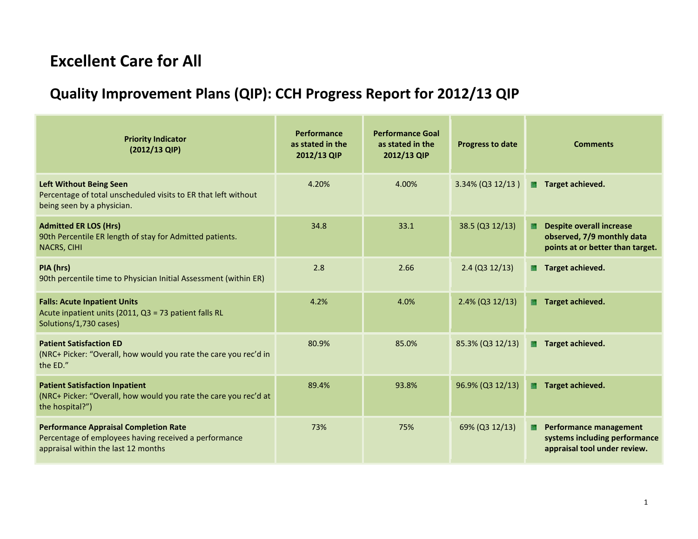## **Excellent Care for All**

## **Quality Improvement Plans (QIP): CCH Progress Report for 2012/13 QIP**

| <b>Priority Indicator</b><br>(2012/13 QIP)                                                                                                   | Performance<br>as stated in the<br>2012/13 QIP | <b>Performance Goal</b><br>as stated in the<br>2012/13 QIP | <b>Progress to date</b> | <b>Comments</b>                                                                                         |
|----------------------------------------------------------------------------------------------------------------------------------------------|------------------------------------------------|------------------------------------------------------------|-------------------------|---------------------------------------------------------------------------------------------------------|
| <b>Left Without Being Seen</b><br>Percentage of total unscheduled visits to ER that left without<br>being seen by a physician.               | 4.20%                                          | 4.00%                                                      | 3.34% (Q3 12/13)        | Target achieved.<br>L.                                                                                  |
| <b>Admitted ER LOS (Hrs)</b><br>90th Percentile ER length of stay for Admitted patients.<br><b>NACRS, CIHI</b>                               | 34.8                                           | 33.1                                                       | 38.5 (Q3 12/13)         | <b>Despite overall increase</b><br>a.<br>observed, 7/9 monthly data<br>points at or better than target. |
| PIA (hrs)<br>90th percentile time to Physician Initial Assessment (within ER)                                                                | 2.8                                            | 2.66                                                       | $2.4$ (Q3 12/13)        | Target achieved.<br>L.                                                                                  |
| <b>Falls: Acute Inpatient Units</b><br>Acute inpatient units (2011, Q3 = 73 patient falls RL<br>Solutions/1,730 cases)                       | 4.2%                                           | 4.0%                                                       | $2.4\%$ (Q3 12/13)      | Target achieved.<br>E.                                                                                  |
| <b>Patient Satisfaction ED</b><br>(NRC+ Picker: "Overall, how would you rate the care you rec'd in<br>the ED."                               | 80.9%                                          | 85.0%                                                      | 85.3% (Q3 12/13)        | Target achieved.                                                                                        |
| <b>Patient Satisfaction Inpatient</b><br>(NRC+ Picker: "Overall, how would you rate the care you rec'd at<br>the hospital?")                 | 89.4%                                          | 93.8%                                                      | 96.9% (Q3 12/13)        | Target achieved.<br>E.                                                                                  |
| <b>Performance Appraisal Completion Rate</b><br>Percentage of employees having received a performance<br>appraisal within the last 12 months | 73%                                            | 75%                                                        | 69% (Q3 12/13)          | <b>Performance management</b><br>L.<br>systems including performance<br>appraisal tool under review.    |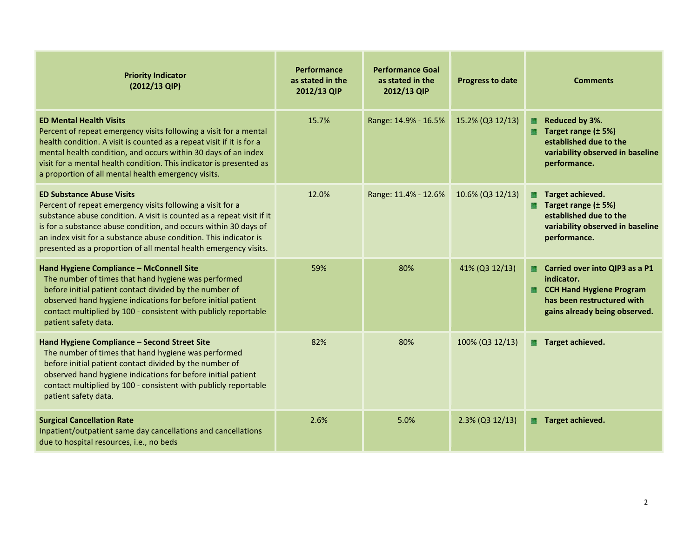| <b>Priority Indicator</b><br>(2012/13 QIP)                                                                                                                                                                                                                                                                                                                                           | <b>Performance</b><br>as stated in the<br>2012/13 QIP | <b>Performance Goal</b><br>as stated in the<br>2012/13 QIP | <b>Progress to date</b> | <b>Comments</b>                                                                                                                                |
|--------------------------------------------------------------------------------------------------------------------------------------------------------------------------------------------------------------------------------------------------------------------------------------------------------------------------------------------------------------------------------------|-------------------------------------------------------|------------------------------------------------------------|-------------------------|------------------------------------------------------------------------------------------------------------------------------------------------|
| <b>ED Mental Health Visits</b><br>Percent of repeat emergency visits following a visit for a mental<br>health condition. A visit is counted as a repeat visit if it is for a<br>mental health condition, and occurs within 30 days of an index<br>visit for a mental health condition. This indicator is presented as<br>a proportion of all mental health emergency visits.         | 15.7%                                                 | Range: 14.9% - 16.5%                                       | 15.2% (Q3 12/13)        | Reduced by 3%.<br>D.<br>Target range (± 5%)<br>established due to the<br>variability observed in baseline<br>performance.                      |
| <b>ED Substance Abuse Visits</b><br>Percent of repeat emergency visits following a visit for a<br>substance abuse condition. A visit is counted as a repeat visit if it<br>is for a substance abuse condition, and occurs within 30 days of<br>an index visit for a substance abuse condition. This indicator is<br>presented as a proportion of all mental health emergency visits. | 12.0%                                                 | Range: 11.4% - 12.6%                                       | 10.6% (Q3 12/13)        | Target achieved.<br>Target range (± 5%)<br>established due to the<br>variability observed in baseline<br>performance.                          |
| Hand Hygiene Compliance - McConnell Site<br>The number of times that hand hygiene was performed<br>before initial patient contact divided by the number of<br>observed hand hygiene indications for before initial patient<br>contact multiplied by 100 - consistent with publicly reportable<br>patient safety data.                                                                | 59%                                                   | 80%                                                        | 41% (Q3 12/13)          | Carried over into QIP3 as a P1<br>indicator.<br><b>CCH Hand Hygiene Program</b><br>has been restructured with<br>gains already being observed. |
| Hand Hygiene Compliance - Second Street Site<br>The number of times that hand hygiene was performed<br>before initial patient contact divided by the number of<br>observed hand hygiene indications for before initial patient<br>contact multiplied by 100 - consistent with publicly reportable<br>patient safety data.                                                            | 82%                                                   | 80%                                                        | 100% (Q3 12/13)         | Target achieved.<br>n.                                                                                                                         |
| <b>Surgical Cancellation Rate</b><br>Inpatient/outpatient same day cancellations and cancellations<br>due to hospital resources, i.e., no beds                                                                                                                                                                                                                                       | 2.6%                                                  | 5.0%                                                       | $2.3\%$ (Q3 12/13)      | Target achieved.<br><b>Birth</b>                                                                                                               |